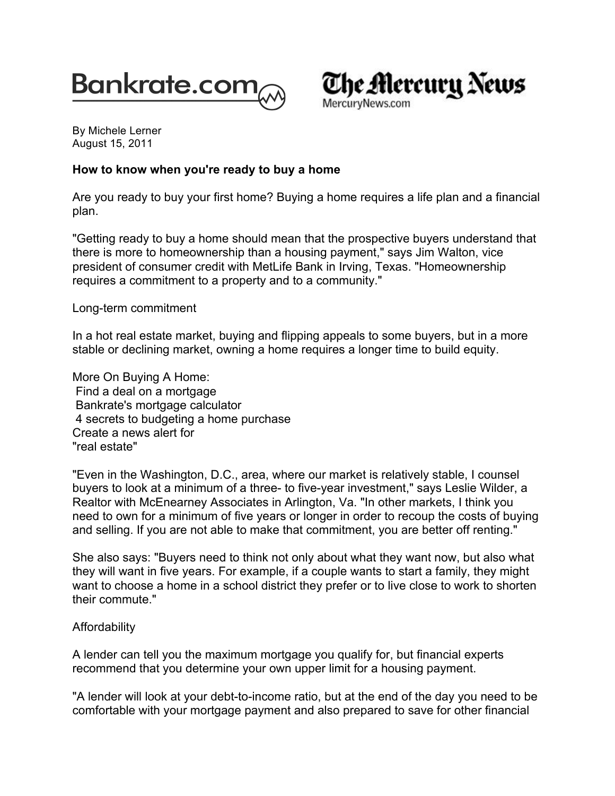



By Michele Lerner August 15, 2011

# **How to know when you're ready to buy a home**

Are you ready to buy your first home? Buying a home requires a life plan and a financial plan.

"Getting ready to buy a home should mean that the prospective buyers understand that there is more to homeownership than a housing payment," says Jim Walton, vice president of consumer credit with MetLife Bank in Irving, Texas. "Homeownership requires a commitment to a property and to a community."

Long-term commitment

In a hot real estate market, buying and flipping appeals to some buyers, but in a more stable or declining market, owning a home requires a longer time to build equity.

More On Buying A Home: Find a deal on a mortgage Bankrate's mortgage calculator 4 secrets to budgeting a home purchase Create a news alert for "real estate"

"Even in the Washington, D.C., area, where our market is relatively stable, I counsel buyers to look at a minimum of a three- to five-year investment," says Leslie Wilder, a Realtor with McEnearney Associates in Arlington, Va. "In other markets, I think you need to own for a minimum of five years or longer in order to recoup the costs of buying and selling. If you are not able to make that commitment, you are better off renting."

She also says: "Buyers need to think not only about what they want now, but also what they will want in five years. For example, if a couple wants to start a family, they might want to choose a home in a school district they prefer or to live close to work to shorten their commute."

# Affordability

A lender can tell you the maximum mortgage you qualify for, but financial experts recommend that you determine your own upper limit for a housing payment.

"A lender will look at your debt-to-income ratio, but at the end of the day you need to be comfortable with your mortgage payment and also prepared to save for other financial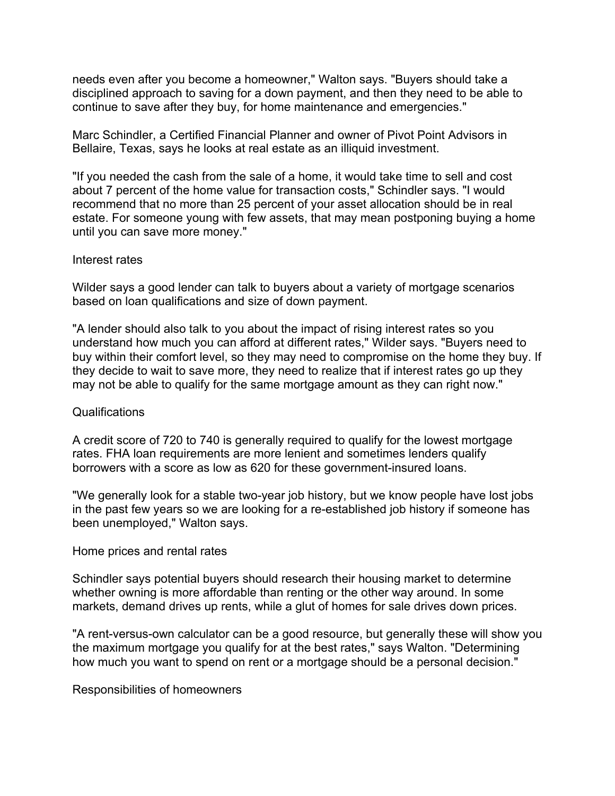needs even after you become a homeowner," Walton says. "Buyers should take a disciplined approach to saving for a down payment, and then they need to be able to continue to save after they buy, for home maintenance and emergencies."

Marc Schindler, a Certified Financial Planner and owner of Pivot Point Advisors in Bellaire, Texas, says he looks at real estate as an illiquid investment.

"If you needed the cash from the sale of a home, it would take time to sell and cost about 7 percent of the home value for transaction costs," Schindler says. "I would recommend that no more than 25 percent of your asset allocation should be in real estate. For someone young with few assets, that may mean postponing buying a home until you can save more money."

## Interest rates

Wilder says a good lender can talk to buyers about a variety of mortgage scenarios based on loan qualifications and size of down payment.

"A lender should also talk to you about the impact of rising interest rates so you understand how much you can afford at different rates," Wilder says. "Buyers need to buy within their comfort level, so they may need to compromise on the home they buy. If they decide to wait to save more, they need to realize that if interest rates go up they may not be able to qualify for the same mortgage amount as they can right now."

## Qualifications

A credit score of 720 to 740 is generally required to qualify for the lowest mortgage rates. FHA loan requirements are more lenient and sometimes lenders qualify borrowers with a score as low as 620 for these government-insured loans.

"We generally look for a stable two-year job history, but we know people have lost jobs in the past few years so we are looking for a re-established job history if someone has been unemployed," Walton says.

## Home prices and rental rates

Schindler says potential buyers should research their housing market to determine whether owning is more affordable than renting or the other way around. In some markets, demand drives up rents, while a glut of homes for sale drives down prices.

"A rent-versus-own calculator can be a good resource, but generally these will show you the maximum mortgage you qualify for at the best rates," says Walton. "Determining how much you want to spend on rent or a mortgage should be a personal decision."

Responsibilities of homeowners